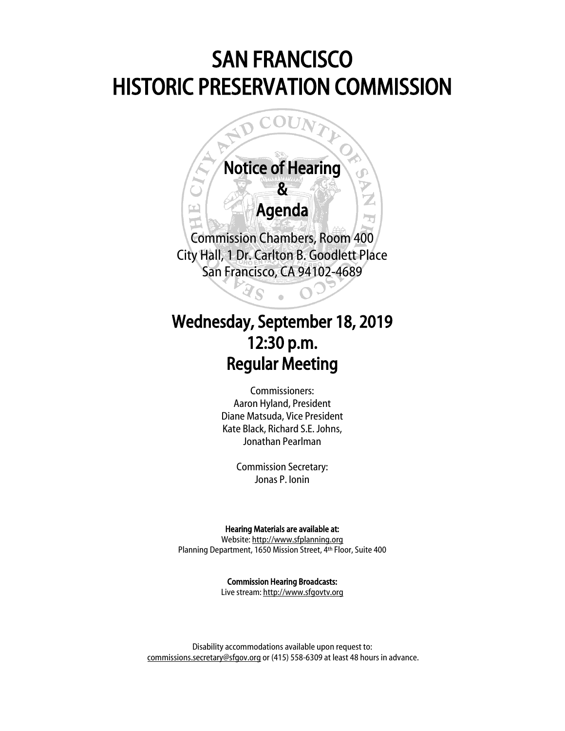# SAN FRANCISCO HISTORIC PRESERVATION COMMISSION

# Notice of Hearing  $\boldsymbol{\mathcal{R}}$

 $\overline{a}$ 

 $\mathcal{L}$ 

# Agenda

Ī.

Commission Chambers, Room 400 City Hall, 1 Dr. Carlton B. Goodlett Place San Francisco, CA 94102-4689

# Wednesday, September 18, 2019 12:30 p.m. Regular Meeting

 $\overline{a}$ 

Commissioners: Aaron Hyland, President Diane Matsuda, Vice President Kate Black, Richard S.E. Johns, Jonathan Pearlman

Commission Secretary: Jonas P. Ionin

## Hearing Materials are available at:

Website[: http://www.sfplanning.org](http://www.sfplanning.org/) Planning Department, 1650 Mission Street, 4th Floor, Suite 400

> Commission Hearing Broadcasts: Live stream: [http://www.sfgovtv.org](http://www.sfgovtv.org/)

Disability accommodations available upon request to: [commissions.secretary@sfgov.org](mailto:commissions.secretary@sfgov.org) or (415) 558-6309 at least 48 hours in advance.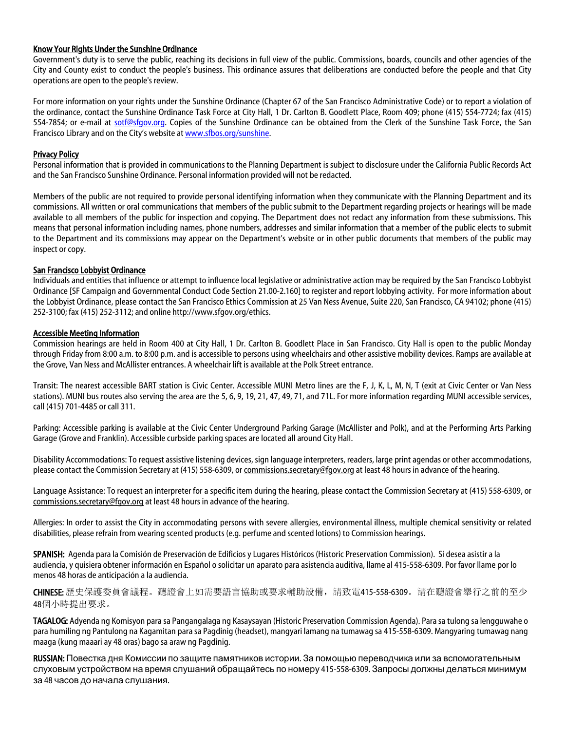### Know Your Rights Under the Sunshine Ordinance

Government's duty is to serve the public, reaching its decisions in full view of the public. Commissions, boards, councils and other agencies of the City and County exist to conduct the people's business. This ordinance assures that deliberations are conducted before the people and that City operations are open to the people's review.

For more information on your rights under the Sunshine Ordinance (Chapter 67 of the San Francisco Administrative Code) or to report a violation of the ordinance, contact the Sunshine Ordinance Task Force at City Hall, 1 Dr. Carlton B. Goodlett Place, Room 409; phone (415) 554-7724; fax (415) 554-7854; or e-mail at [sotf@sfgov.org.](mailto:sotf@sfgov.org) Copies of the Sunshine Ordinance can be obtained from the Clerk of the Sunshine Task Force, the San Francisco Library and on the City's website at [www.sfbos.org/sunshine.](http://www.sfbos.org/sunshine)

## Privacy Policy

Personal information that is provided in communications to the Planning Department is subject to disclosure under the California Public Records Act and the San Francisco Sunshine Ordinance. Personal information provided will not be redacted.

Members of the public are not required to provide personal identifying information when they communicate with the Planning Department and its commissions. All written or oral communications that members of the public submit to the Department regarding projects or hearings will be made available to all members of the public for inspection and copying. The Department does not redact any information from these submissions. This means that personal information including names, phone numbers, addresses and similar information that a member of the public elects to submit to the Department and its commissions may appear on the Department's website or in other public documents that members of the public may inspect or copy.

### San Francisco Lobbyist Ordinance

Individuals and entities that influence or attempt to influence local legislative or administrative action may be required by the San Francisco Lobbyist Ordinance [SF Campaign and Governmental Conduct Code Section 21.00-2.160] to register and report lobbying activity. For more information about the Lobbyist Ordinance, please contact the San Francisco Ethics Commission at 25 Van Ness Avenue, Suite 220, San Francisco, CA 94102; phone (415) 252-3100; fax (415) 252-3112; and online [http://www.sfgov.org/ethics.](http://www.sfgov.org/ethics)

### Accessible Meeting Information

Commission hearings are held in Room 400 at City Hall, 1 Dr. Carlton B. Goodlett Place in San Francisco. City Hall is open to the public Monday through Friday from 8:00 a.m. to 8:00 p.m. and is accessible to persons using wheelchairs and other assistive mobility devices. Ramps are available at the Grove, Van Ness and McAllister entrances. A wheelchair lift is available at the Polk Street entrance.

Transit: The nearest accessible BART station is Civic Center. Accessible MUNI Metro lines are the F, J, K, L, M, N, T (exit at Civic Center or Van Ness stations). MUNI bus routes also serving the area are the 5, 6, 9, 19, 21, 47, 49, 71, and 71L. For more information regarding MUNI accessible services, call (415) 701-4485 or call 311.

Parking: Accessible parking is available at the Civic Center Underground Parking Garage (McAllister and Polk), and at the Performing Arts Parking Garage (Grove and Franklin). Accessible curbside parking spaces are located all around City Hall.

Disability Accommodations: To request assistive listening devices, sign language interpreters, readers, large print agendas or other accommodations, please contact the Commission Secretary at (415) 558-6309, o[r commissions.secretary@fgov.org](mailto:commissions.secretary@fgov.org) at least 48 hours in advance of the hearing.

Language Assistance: To request an interpreter for a specific item during the hearing, please contact the Commission Secretary at (415) 558-6309, or [commissions.secretary@fgov.org](mailto:commissions.secretary@fgov.org) at least 48 hours in advance of the hearing.

Allergies: In order to assist the City in accommodating persons with severe allergies, environmental illness, multiple chemical sensitivity or related disabilities, please refrain from wearing scented products (e.g. perfume and scented lotions) to Commission hearings.

SPANISH: Agenda para la Comisión de Preservación de Edificios y Lugares Históricos (Historic Preservation Commission). Si desea asistir a la audiencia, y quisiera obtener información en Español o solicitar un aparato para asistencia auditiva, llame al 415-558-6309. Por favor llame por lo menos 48 horas de anticipación a la audiencia.

CHINESE: 歷史保護委員會議程。聽證會上如需要語言協助或要求輔助設備,請致電415-558-6309。請在聽證會舉行之前的至少 48個小時提出要求。

TAGALOG: Adyenda ng Komisyon para sa Pangangalaga ng Kasaysayan (Historic Preservation Commission Agenda). Para sa tulong sa lengguwahe o para humiling ng Pantulong na Kagamitan para sa Pagdinig (headset), mangyari lamang na tumawag sa 415-558-6309. Mangyaring tumawag nang maaga (kung maaari ay 48 oras) bago sa araw ng Pagdinig.

RUSSIAN: Повестка дня Комиссии по защите памятников истории. За помощью переводчика или за вспомогательным слуховым устройством на время слушаний обращайтесь по номеру 415-558-6309. Запросы должны делаться минимум за 48 часов до начала слушания.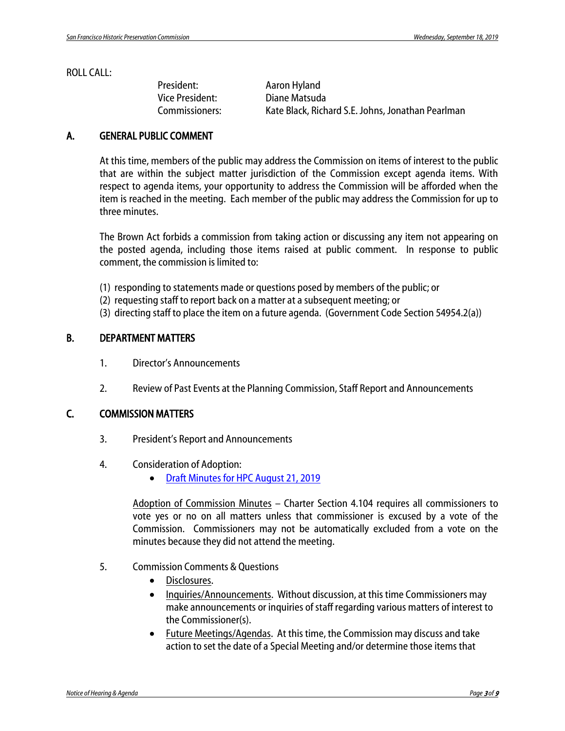## ROLL CALL:

| President:      | Aaron Hyland                                      |
|-----------------|---------------------------------------------------|
| Vice President: | Diane Matsuda                                     |
| Commissioners:  | Kate Black, Richard S.E. Johns, Jonathan Pearlman |

# A. GENERAL PUBLIC COMMENT

At this time, members of the public may address the Commission on items of interest to the public that are within the subject matter jurisdiction of the Commission except agenda items. With respect to agenda items, your opportunity to address the Commission will be afforded when the item is reached in the meeting. Each member of the public may address the Commission for up to three minutes.

The Brown Act forbids a commission from taking action or discussing any item not appearing on the posted agenda, including those items raised at public comment. In response to public comment, the commission is limited to:

- (1) responding to statements made or questions posed by members of the public; or
- (2) requesting staff to report back on a matter at a subsequent meeting; or
- (3) directing staff to place the item on a future agenda. (Government Code Section 54954.2(a))

# B. DEPARTMENT MATTERS

- 1. Director's Announcements
- 2. Review of Past Events at the Planning Commission, Staff Report and Announcements

## C. COMMISSION MATTERS

- 3. President's Report and Announcements
- 4. Consideration of Adoption:
	- [Draft Minutes for HPC August 21, 2019](https://commissions.sfplanning.org/hpcpackets/20190821_hpc_min.pdf)

Adoption of Commission Minutes – Charter Section 4.104 requires all commissioners to vote yes or no on all matters unless that commissioner is excused by a vote of the Commission. Commissioners may not be automatically excluded from a vote on the minutes because they did not attend the meeting.

- 5. Commission Comments & Questions
	- Disclosures.
	- Inquiries/Announcements. Without discussion, at this time Commissioners may make announcements or inquiries of staff regarding various matters of interest to the Commissioner(s).
	- Future Meetings/Agendas. At this time, the Commission may discuss and take action to set the date of a Special Meeting and/or determine those items that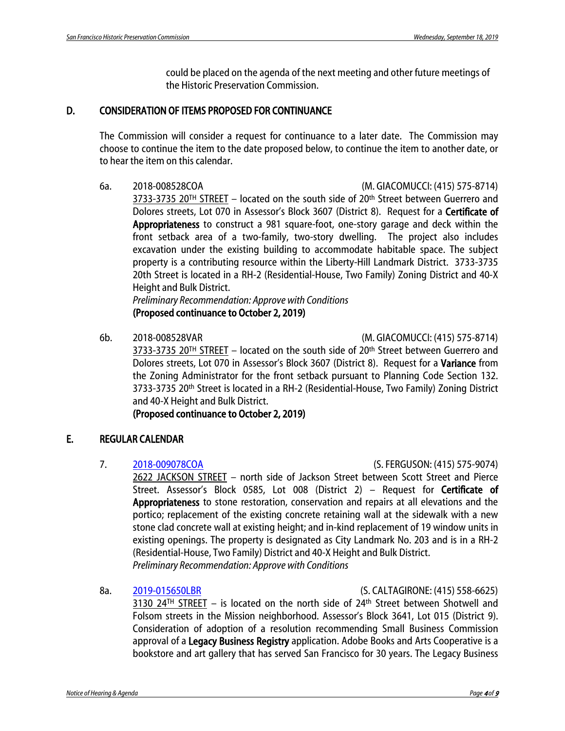could be placed on the agenda of the next meeting and other future meetings of the Historic Preservation Commission.

# D. CONSIDERATION OF ITEMS PROPOSED FOR CONTINUANCE

The Commission will consider a request for continuance to a later date. The Commission may choose to continue the item to the date proposed below, to continue the item to another date, or to hear the item on this calendar.

6a. 2018-008528COA (M. GIACOMUCCI: (415) 575-8714)

3733-3735 20TH STREET - located on the south side of 20th Street between Guerrero and Dolores streets, Lot 070 in Assessor's Block 3607 (District 8). Request for a Certificate of Appropriateness to construct a 981 square-foot, one-story garage and deck within the front setback area of a two-family, two-story dwelling. The project also includes excavation under the existing building to accommodate habitable space. The subject property is a contributing resource within the Liberty-Hill Landmark District. 3733-3735 20th Street is located in a RH-2 (Residential-House, Two Family) Zoning District and 40-X Height and Bulk District.

*Preliminary Recommendation: Approve with Conditions* (Proposed continuance to October 2, 2019)

6b. 2018-008528VAR (M. GIACOMUCCI: (415) 575-8714)

 $3733-3735$  20<sup>TH</sup> STREET - located on the south side of 20<sup>th</sup> Street between Guerrero and Dolores streets, Lot 070 in Assessor's Block 3607 (District 8). Request for a Variance from the Zoning Administrator for the front setback pursuant to Planning Code Section 132. 3733-3735 20th Street is located in a RH-2 (Residential-House, Two Family) Zoning District and 40-X Height and Bulk District.

(Proposed continuance to October 2, 2019)

# E. REGULAR CALENDAR

# 7. [2018-009078COA](https://commissions.sfplanning.org/hpcpackets/2018-009078COA_2622%20Jackson%20Street%20_HPC%20Packet%2009.18.2019.docx.pdf) (S. FERGUSON: (415) 575-9074)

2622 JACKSON STREET – north side of Jackson Street between Scott Street and Pierce Street. Assessor's Block 0585, Lot 008 (District 2) - Request for Certificate of Appropriateness to stone restoration, conservation and repairs at all elevations and the portico; replacement of the existing concrete retaining wall at the sidewalk with a new stone clad concrete wall at existing height; and in-kind replacement of 19 window units in existing openings. The property is designated as City Landmark No. 203 and is in a RH-2 (Residential-House, Two Family) District and 40-X Height and Bulk District. *Preliminary Recommendation: Approve with Conditions*

8a. [2019-015650LBR](https://commissions.sfplanning.org/hpcpackets/LBR%20Packet_09182019%20HPC%20Hearing.pdf) (S. CALTAGIRONE: (415) 558-6625)

3130 24<sup>TH</sup> STREET – is located on the north side of 24<sup>th</sup> Street between Shotwell and Folsom streets in the Mission neighborhood. Assessor's Block 3641, Lot 015 (District 9). Consideration of adoption of a resolution recommending Small Business Commission approval of a Legacy Business Registry application. Adobe Books and Arts Cooperative is a bookstore and art gallery that has served San Francisco for 30 years. The Legacy Business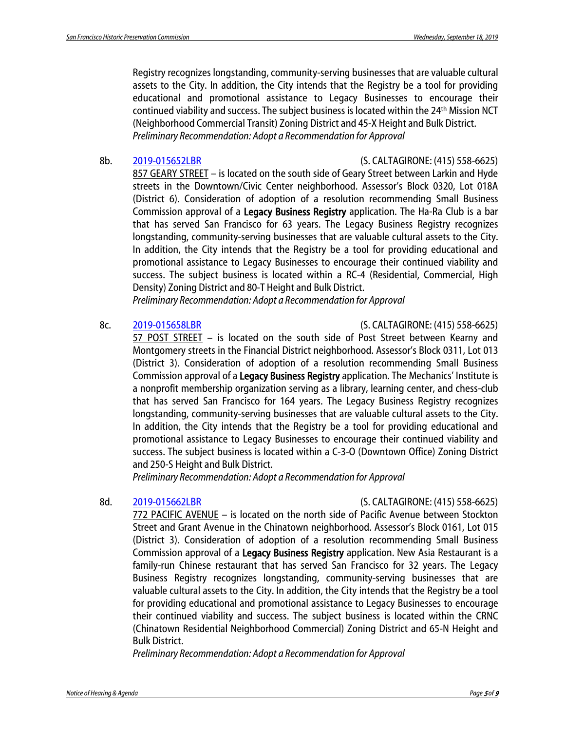Registry recognizes longstanding, community-serving businesses that are valuable cultural assets to the City. In addition, the City intends that the Registry be a tool for providing educational and promotional assistance to Legacy Businesses to encourage their continued viability and success. The subject business is located within the 24th Mission NCT (Neighborhood Commercial Transit) Zoning District and 45-X Height and Bulk District. *Preliminary Recommendation: Adopt a Recommendation for Approval*

8b. [2019-015652LBR](https://commissions.sfplanning.org/hpcpackets/LBR%20Packet_09182019%20HPC%20Hearing.pdf) (S. CALTAGIRONE: (415) 558-6625)

857 GEARY STREET – is located on the south side of Geary Street between Larkin and Hyde streets in the Downtown/Civic Center neighborhood. Assessor's Block 0320, Lot 018A (District 6). Consideration of adoption of a resolution recommending Small Business Commission approval of a Legacy Business Registry application. The Ha-Ra Club is a bar that has served San Francisco for 63 years. The Legacy Business Registry recognizes longstanding, community-serving businesses that are valuable cultural assets to the City. In addition, the City intends that the Registry be a tool for providing educational and promotional assistance to Legacy Businesses to encourage their continued viability and success. The subject business is located within a RC-4 (Residential, Commercial, High Density) Zoning District and 80-T Height and Bulk District.

*Preliminary Recommendation: Adopt a Recommendation for Approval*

8c. [2019-015658LBR](https://commissions.sfplanning.org/hpcpackets/LBR%20Packet_09182019%20HPC%20Hearing.pdf) (S. CALTAGIRONE: (415) 558-6625)

57 POST STREET – is located on the south side of Post Street between Kearny and Montgomery streets in the Financial District neighborhood. Assessor's Block 0311, Lot 013 (District 3). Consideration of adoption of a resolution recommending Small Business Commission approval of a Legacy Business Registry application. The Mechanics' Institute is a nonprofit membership organization serving as a library, learning center, and chess-club that has served San Francisco for 164 years. The Legacy Business Registry recognizes longstanding, community-serving businesses that are valuable cultural assets to the City. In addition, the City intends that the Registry be a tool for providing educational and promotional assistance to Legacy Businesses to encourage their continued viability and success. The subject business is located within a C-3-O (Downtown Office) Zoning District and 250-S Height and Bulk District.

*Preliminary Recommendation: Adopt a Recommendation for Approval*

# 8d. [2019-015662LBR](https://commissions.sfplanning.org/hpcpackets/LBR%20Packet_09182019%20HPC%20Hearing.pdf) (S. CALTAGIRONE: (415) 558-6625)

772 PACIFIC AVENUE – is located on the north side of Pacific Avenue between Stockton Street and Grant Avenue in the Chinatown neighborhood. Assessor's Block 0161, Lot 015 (District 3). Consideration of adoption of a resolution recommending Small Business Commission approval of a Legacy Business Registry application. New Asia Restaurant is a family-run Chinese restaurant that has served San Francisco for 32 years. The Legacy Business Registry recognizes longstanding, community-serving businesses that are valuable cultural assets to the City. In addition, the City intends that the Registry be a tool for providing educational and promotional assistance to Legacy Businesses to encourage their continued viability and success. The subject business is located within the CRNC (Chinatown Residential Neighborhood Commercial) Zoning District and 65-N Height and Bulk District.

*Preliminary Recommendation: Adopt a Recommendation for Approval*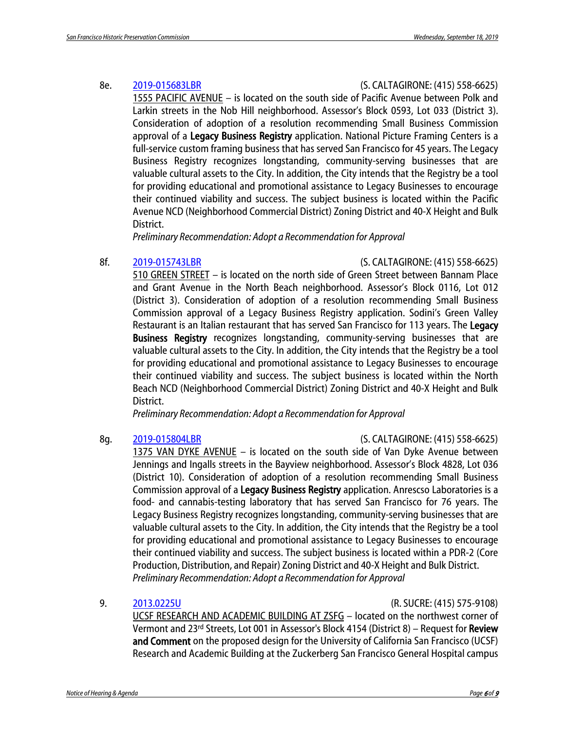# 8e. [2019-015683LBR](https://commissions.sfplanning.org/hpcpackets/LBR%20Packet_09182019%20HPC%20Hearing.pdf) (S. CALTAGIRONE: (415) 558-6625)

1555 PACIFIC AVENUE – is located on the south side of Pacific Avenue between Polk and Larkin streets in the Nob Hill neighborhood. Assessor's Block 0593, Lot 033 (District 3). Consideration of adoption of a resolution recommending Small Business Commission approval of a Legacy Business Registry application. National Picture Framing Centers is a full-service custom framing business that has served San Francisco for 45 years. The Legacy Business Registry recognizes longstanding, community-serving businesses that are valuable cultural assets to the City. In addition, the City intends that the Registry be a tool for providing educational and promotional assistance to Legacy Businesses to encourage their continued viability and success. The subject business is located within the Pacific Avenue NCD (Neighborhood Commercial District) Zoning District and 40-X Height and Bulk District.

*Preliminary Recommendation: Adopt a Recommendation for Approval*

8f. [2019-015743LBR](https://commissions.sfplanning.org/hpcpackets/LBR%20Packet_09182019%20HPC%20Hearing.pdf) (S. CALTAGIRONE: (415) 558-6625)

510 GREEN STREET – is located on the north side of Green Street between Bannam Place and Grant Avenue in the North Beach neighborhood. Assessor's Block 0116, Lot 012 (District 3). Consideration of adoption of a resolution recommending Small Business Commission approval of a Legacy Business Registry application. Sodini's Green Valley Restaurant is an Italian restaurant that has served San Francisco for 113 years. The Legacy Business Registry recognizes longstanding, community-serving businesses that are valuable cultural assets to the City. In addition, the City intends that the Registry be a tool for providing educational and promotional assistance to Legacy Businesses to encourage their continued viability and success. The subject business is located within the North Beach NCD (Neighborhood Commercial District) Zoning District and 40-X Height and Bulk District.

*Preliminary Recommendation: Adopt a Recommendation for Approval*

8g. [2019-015804LBR](https://commissions.sfplanning.org/hpcpackets/LBR%20Packet_09182019%20HPC%20Hearing.pdf) (S. CALTAGIRONE: (415) 558-6625)

1375 VAN DYKE AVENUE – is located on the south side of Van Dyke Avenue between Jennings and Ingalls streets in the Bayview neighborhood. Assessor's Block 4828, Lot 036 (District 10). Consideration of adoption of a resolution recommending Small Business Commission approval of a Legacy Business Registry application. Anrescso Laboratories is a food- and cannabis-testing laboratory that has served San Francisco for 76 years. The Legacy Business Registry recognizes longstanding, community-serving businesses that are valuable cultural assets to the City. In addition, the City intends that the Registry be a tool for providing educational and promotional assistance to Legacy Businesses to encourage their continued viability and success. The subject business is located within a PDR-2 (Core Production, Distribution, and Repair) Zoning District and 40-X Height and Bulk District. *Preliminary Recommendation: Adopt a Recommendation for Approval*

9. [2013.0225U](https://commissions.sfplanning.org/hpcpackets/2013.0225U_2019-09-18.pdf) (R. SUCRE: (415) 575-9108)

UCSF RESEARCH AND ACADEMIC BUILDING AT ZSFG – located on the northwest corner of Vermont and 23rd Streets, Lot 001 in Assessor's Block 4154 (District 8) – Request for Review and Comment on the proposed design for the University of California San Francisco (UCSF) Research and Academic Building at the Zuckerberg San Francisco General Hospital campus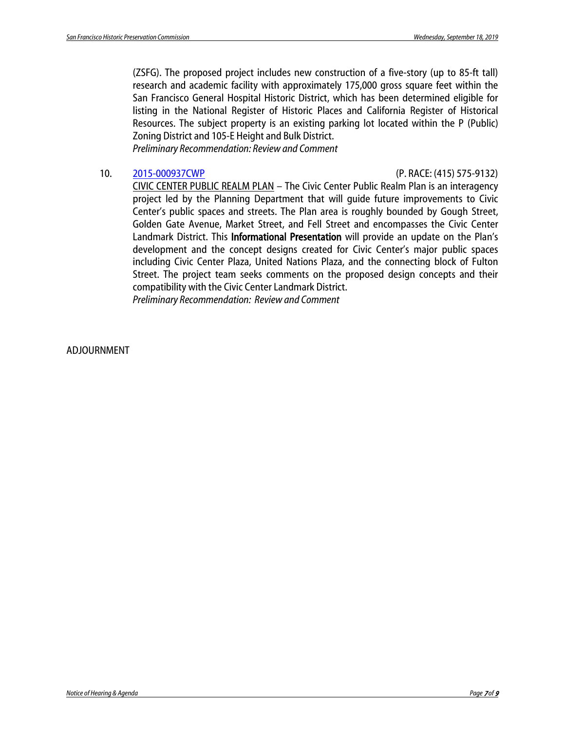(ZSFG). The proposed project includes new construction of a five-story (up to 85-ft tall) research and academic facility with approximately 175,000 gross square feet within the San Francisco General Hospital Historic District, which has been determined eligible for listing in the National Register of Historic Places and California Register of Historical Resources. The subject property is an existing parking lot located within the P (Public) Zoning District and 105-E Height and Bulk District.

*Preliminary Recommendation: Review and Comment*

# 10. [2015-000937CWP](https://commissions.sfplanning.org/hpcpackets/2015-000937CWP.pdf) (P. RACE: (415) 575-9132)

CIVIC CENTER PUBLIC REALM PLAN – The Civic Center Public Realm Plan is an interagency project led by the Planning Department that will guide future improvements to Civic Center's public spaces and streets. The Plan area is roughly bounded by Gough Street, Golden Gate Avenue, Market Street, and Fell Street and encompasses the Civic Center Landmark District. This **Informational Presentation** will provide an update on the Plan's development and the concept designs created for Civic Center's major public spaces including Civic Center Plaza, United Nations Plaza, and the connecting block of Fulton Street. The project team seeks comments on the proposed design concepts and their compatibility with the Civic Center Landmark District. *Preliminary Recommendation: Review and Comment*

# ADJOURNMENT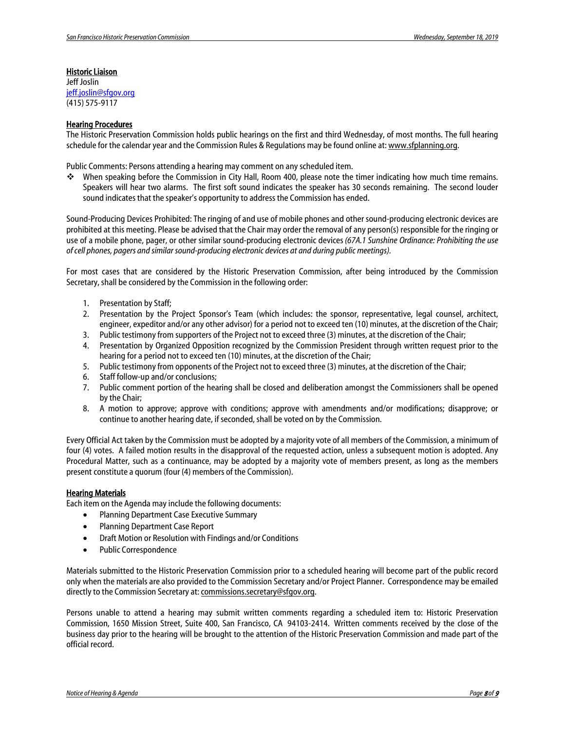### Historic Liaison

Jeff Joslin [jeff.joslin@sfgov.org](mailto:jeff.joslin@sfgov.org) (415) 575-9117

### Hearing Procedures

The Historic Preservation Commission holds public hearings on the first and third Wednesday, of most months. The full hearing schedule for the calendar year and the Commission Rules & Regulations may be found online at[: www.sfplanning.org.](http://www.sfplanning.org/) 

Public Comments: Persons attending a hearing may comment on any scheduled item.

 When speaking before the Commission in City Hall, Room 400, please note the timer indicating how much time remains. Speakers will hear two alarms. The first soft sound indicates the speaker has 30 seconds remaining. The second louder sound indicates that the speaker's opportunity to address the Commission has ended.

Sound-Producing Devices Prohibited: The ringing of and use of mobile phones and other sound-producing electronic devices are prohibited at this meeting. Please be advised that the Chair may order the removal of any person(s) responsible for the ringing or use of a mobile phone, pager, or other similar sound-producing electronic devices *(67A.1 Sunshine Ordinance: Prohibiting the use of cell phones, pagers and similar sound-producing electronic devices at and during public meetings).*

For most cases that are considered by the Historic Preservation Commission, after being introduced by the Commission Secretary, shall be considered by the Commission in the following order:

- 1. Presentation by Staff;
- 2. Presentation by the Project Sponsor's Team (which includes: the sponsor, representative, legal counsel, architect, engineer, expeditor and/or any other advisor) for a period not to exceed ten (10) minutes, at the discretion of the Chair;
- 3. Public testimony from supporters of the Project not to exceed three (3) minutes, at the discretion of the Chair;
- 4. Presentation by Organized Opposition recognized by the Commission President through written request prior to the hearing for a period not to exceed ten (10) minutes, at the discretion of the Chair;
- 5. Public testimony from opponents of the Project not to exceed three (3) minutes, at the discretion of the Chair;
- 6. Staff follow-up and/or conclusions;
- 7. Public comment portion of the hearing shall be closed and deliberation amongst the Commissioners shall be opened by the Chair;
- 8. A motion to approve; approve with conditions; approve with amendments and/or modifications; disapprove; or continue to another hearing date, if seconded, shall be voted on by the Commission.

Every Official Act taken by the Commission must be adopted by a majority vote of all members of the Commission, a minimum of four (4) votes. A failed motion results in the disapproval of the requested action, unless a subsequent motion is adopted. Any Procedural Matter, such as a continuance, may be adopted by a majority vote of members present, as long as the members present constitute a quorum (four (4) members of the Commission).

### **Hearing Materials**

Each item on the Agenda may include the following documents:

- Planning Department Case Executive Summary
- Planning Department Case Report
- Draft Motion or Resolution with Findings and/or Conditions
- Public Correspondence

Materials submitted to the Historic Preservation Commission prior to a scheduled hearing will become part of the public record only when the materials are also provided to the Commission Secretary and/or Project Planner. Correspondence may be emailed directly to the Commission Secretary at: [commissions.secretary@sfgov.org.](mailto:commissions.secretary@sfgov.org)

Persons unable to attend a hearing may submit written comments regarding a scheduled item to: Historic Preservation Commission, 1650 Mission Street, Suite 400, San Francisco, CA 94103-2414. Written comments received by the close of the business day prior to the hearing will be brought to the attention of the Historic Preservation Commission and made part of the official record.